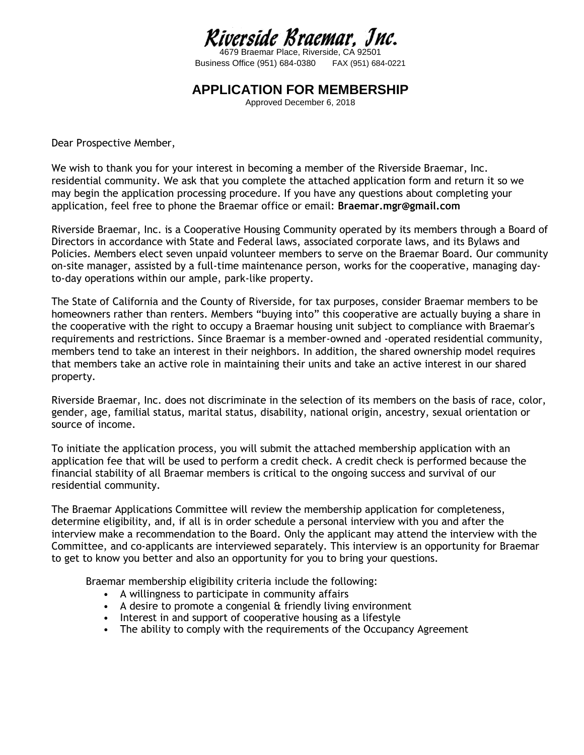## Riverside Braemar, Jnc.

4679 Braemar Place, Riverside, CA 92501 Business Office (951) 684-0380 FAX (951) 684-0221

#### **APPLICATION FOR MEMBERSHIP**

Approved December 6, 2018

Dear Prospective Member,

We wish to thank you for your interest in becoming a member of the Riverside Braemar, Inc. residential community. We ask that you complete the attached application form and return it so we may begin the application processing procedure. If you have any questions about completing your application, feel free to phone the Braemar office or email: **Braemar.mgr@gmail.com**

Riverside Braemar, Inc. is a Cooperative Housing Community operated by its members through a Board of Directors in accordance with State and Federal laws, associated corporate laws, and its Bylaws and Policies. Members elect seven unpaid volunteer members to serve on the Braemar Board. Our community on-site manager, assisted by a full-time maintenance person, works for the cooperative, managing dayto-day operations within our ample, park-like property.

The State of California and the County of Riverside, for tax purposes, consider Braemar members to be homeowners rather than renters. Members "buying into" this cooperative are actually buying a share in the cooperative with the right to occupy a Braemar housing unit subject to compliance with Braemar's requirements and restrictions. Since Braemar is a member-owned and -operated residential community, members tend to take an interest in their neighbors. In addition, the shared ownership model requires that members take an active role in maintaining their units and take an active interest in our shared property.

Riverside Braemar, Inc. does not discriminate in the selection of its members on the basis of race, color, gender, age, familial status, marital status, disability, national origin, ancestry, sexual orientation or source of income.

To initiate the application process, you will submit the attached membership application with an application fee that will be used to perform a credit check. A credit check is performed because the financial stability of all Braemar members is critical to the ongoing success and survival of our residential community.

The Braemar Applications Committee will review the membership application for completeness, determine eligibility, and, if all is in order schedule a personal interview with you and after the interview make a recommendation to the Board. Only the applicant may attend the interview with the Committee, and co-applicants are interviewed separately. This interview is an opportunity for Braemar to get to know you better and also an opportunity for you to bring your questions.

Braemar membership eligibility criteria include the following:

- A willingness to participate in community affairs
- A desire to promote a congenial & friendly living environment
- Interest in and support of cooperative housing as a lifestyle
- The ability to comply with the requirements of the Occupancy Agreement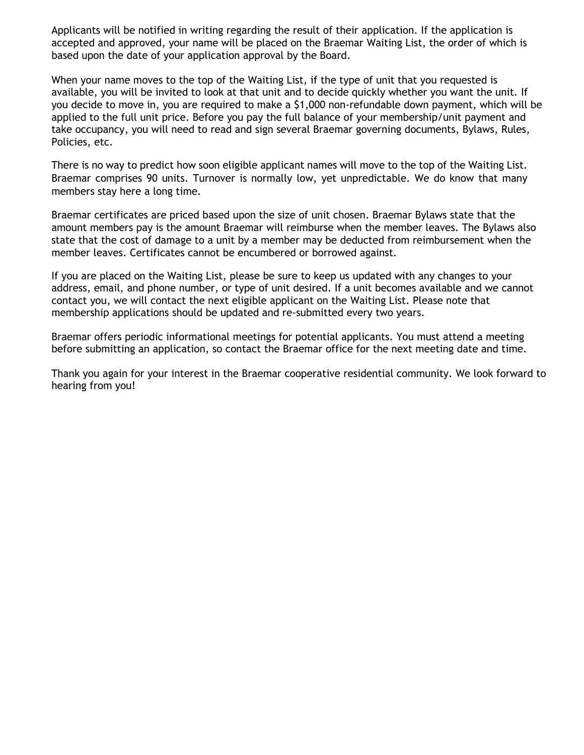Applicants will be notified in writing regarding the result of their application. If the application is accepted and approved, your name will be placed on the Braemar Waiting List, the order of which is based upon the date of your application approval by the Board.

When your name moves to the top of the Waiting List, if the type of unit that you requested is available, you will be invited to look at that unit and to decide quickly whether you want the unit. If you decide to move in, you are required to make a \$1,000 non-refundable down payment, which will be applied to the full unit price. Before you pay the full balance of your membership/unit payment and take occupancy, you will need to read and sign several Braemar governing documents, Bylaws, Rules, Policies, etc.

There is no way to predict how soon eligible applicant names will move to the top of the Waiting List. Braemar comprises 90 units. Turnover is normally low, yet unpredictable. We do know that many members stay here a long time.

Braemar certificates are priced based upon the size of unit chosen. Braemar Bylaws state that the amount members pay is the amount Braemar will reimburse when the member leaves. The Bylaws also state that the cost of damage to a unit by a member may be deducted from reimbursement when the member leaves. Certificates cannot be encumbered or borrowed against.

If you are placed on the Waiting List, please be sure to keep us updated with any changes to your address, email, and phone number, or type of unit desired. If a unit becomes available and we cannot contact you, we will contact the next eligible applicant on the Waiting List. Please note that membership applications should be updated and re-submitted every two years.

Braemar offers periodic informational meetings for potential applicants. You must attend a meeting before submitting an application, so contact the Braemar office for the next meeting date and time.

Thank you again for your interest in the Braemar cooperative residential community. We look forward to hearing from you!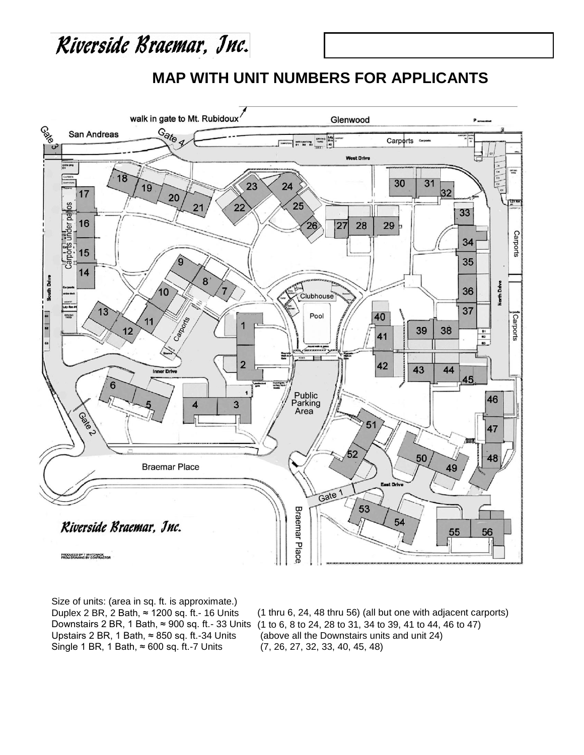### Riverside Braemar, Jnc.

#### **MAP WITH UNIT NUMBERS FOR APPLICANTS**



Size of units: (area in sq. ft. is approximate.) Duplex 2 BR, 2 Bath, ≈ 1200 sq. ft.- 16 Units Upstairs 2 BR, 1 Bath,  $≈ 850$  sq. ft.-34 Units Single 1 BR, 1 Bath,  $≈ 600$  sq. ft.-7 Units

Downstairs 2 BR, 1 Bath, ≈ 900 sq. ft.- 33 Units (1 to 6, 8 to 24, 28 to 31, 34 to 39, 41 to 44, 46 to 47) (1 thru 6, 24, 48 thru 56) (all but one with adjacent carports) (above all the Downstairs units and unit 24) (7, 26, 27, 32, 33, 40, 45, 48)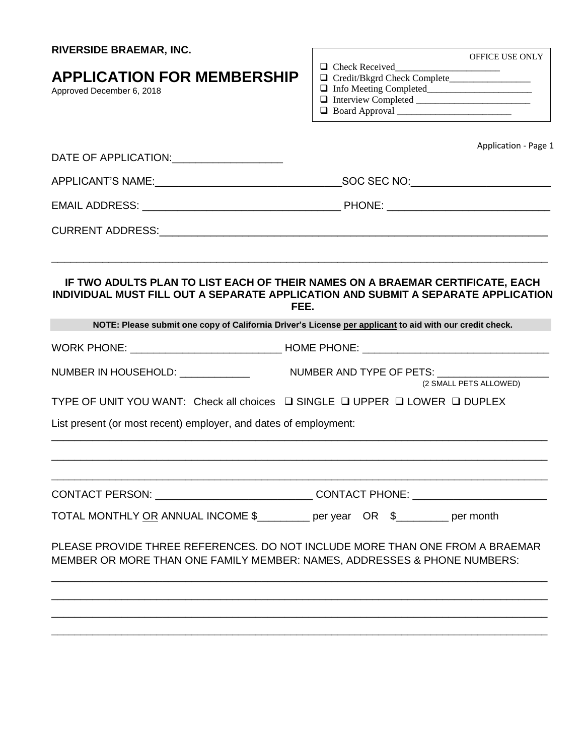| <b>RIVERSIDE BRAEMAR, INC.</b>                                                                                                                                             |                                                    |  |
|----------------------------------------------------------------------------------------------------------------------------------------------------------------------------|----------------------------------------------------|--|
| <b>APPLICATION FOR MEMBERSHIP</b><br>Approved December 6, 2018                                                                                                             | OFFICE USE ONLY                                    |  |
| DATE OF APPLICATION: _____________________                                                                                                                                 | Application - Page 1                               |  |
|                                                                                                                                                                            |                                                    |  |
|                                                                                                                                                                            |                                                    |  |
|                                                                                                                                                                            |                                                    |  |
| IF TWO ADULTS PLAN TO LIST EACH OF THEIR NAMES ON A BRAEMAR CERTIFICATE, EACH<br>INDIVIDUAL MUST FILL OUT A SEPARATE APPLICATION AND SUBMIT A SEPARATE APPLICATION<br>FEE. |                                                    |  |
| NOTE: Please submit one copy of California Driver's License per applicant to aid with our credit check.                                                                    |                                                    |  |
|                                                                                                                                                                            |                                                    |  |
| NUMBER IN HOUSEHOLD: ____________                                                                                                                                          | NUMBER AND TYPE OF PETS:<br>(2 SMALL PETS ALLOWED) |  |
| TYPE OF UNIT YOU WANT: Check all choices □ SINGLE □ UPPER □ LOWER □ DUPLEX                                                                                                 |                                                    |  |
| List present (or most recent) employer, and dates of employment:                                                                                                           |                                                    |  |
| CONTACT PERSON: ________________________________CONTACT PHONE: _________________                                                                                           |                                                    |  |
| TOTAL MONTHLY OR ANNUAL INCOME \$________ per year OR \$_______ per month                                                                                                  |                                                    |  |
| PLEASE PROVIDE THREE REFERENCES. DO NOT INCLUDE MORE THAN ONE FROM A BRAEMAR<br>MEMBER OR MORE THAN ONE FAMILY MEMBER: NAMES, ADDRESSES & PHONE NUMBERS:                   |                                                    |  |
|                                                                                                                                                                            |                                                    |  |
|                                                                                                                                                                            |                                                    |  |
|                                                                                                                                                                            |                                                    |  |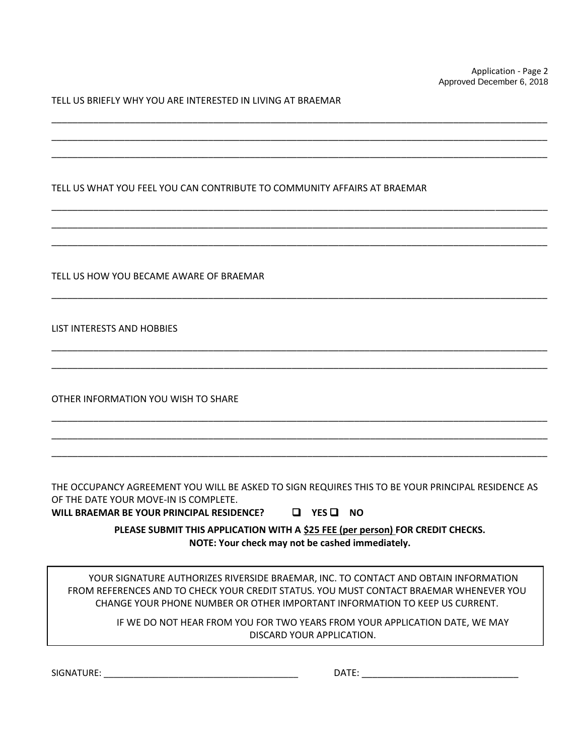TELL US BRIEFLY WHY YOU ARE INTERESTED IN LIVING AT BRAEMAR

|  | TELL US WHAT YOU FEEL YOU CAN CONTRIBUTE TO COMMUNITY AFFAIRS AT BRAEMAR |  |
|--|--------------------------------------------------------------------------|--|
|--|--------------------------------------------------------------------------|--|

\_\_\_\_\_\_\_\_\_\_\_\_\_\_\_\_\_\_\_\_\_\_\_\_\_\_\_\_\_\_\_\_\_\_\_\_\_\_\_\_\_\_\_\_\_\_\_\_\_\_\_\_\_\_\_\_\_\_\_\_\_\_\_\_\_\_\_\_\_\_\_\_\_\_\_\_\_\_\_\_\_\_\_\_\_\_\_\_\_\_\_\_\_\_\_ \_\_\_\_\_\_\_\_\_\_\_\_\_\_\_\_\_\_\_\_\_\_\_\_\_\_\_\_\_\_\_\_\_\_\_\_\_\_\_\_\_\_\_\_\_\_\_\_\_\_\_\_\_\_\_\_\_\_\_\_\_\_\_\_\_\_\_\_\_\_\_\_\_\_\_\_\_\_\_\_\_\_\_\_\_\_\_\_\_\_\_\_\_\_\_ \_\_\_\_\_\_\_\_\_\_\_\_\_\_\_\_\_\_\_\_\_\_\_\_\_\_\_\_\_\_\_\_\_\_\_\_\_\_\_\_\_\_\_\_\_\_\_\_\_\_\_\_\_\_\_\_\_\_\_\_\_\_\_\_\_\_\_\_\_\_\_\_\_\_\_\_\_\_\_\_\_\_\_\_\_\_\_\_\_\_\_\_\_\_\_

\_\_\_\_\_\_\_\_\_\_\_\_\_\_\_\_\_\_\_\_\_\_\_\_\_\_\_\_\_\_\_\_\_\_\_\_\_\_\_\_\_\_\_\_\_\_\_\_\_\_\_\_\_\_\_\_\_\_\_\_\_\_\_\_\_\_\_\_\_\_\_\_\_\_\_\_\_\_\_\_\_\_\_\_\_\_\_\_\_\_\_\_\_\_\_ \_\_\_\_\_\_\_\_\_\_\_\_\_\_\_\_\_\_\_\_\_\_\_\_\_\_\_\_\_\_\_\_\_\_\_\_\_\_\_\_\_\_\_\_\_\_\_\_\_\_\_\_\_\_\_\_\_\_\_\_\_\_\_\_\_\_\_\_\_\_\_\_\_\_\_\_\_\_\_\_\_\_\_\_\_\_\_\_\_\_\_\_\_\_\_ \_\_\_\_\_\_\_\_\_\_\_\_\_\_\_\_\_\_\_\_\_\_\_\_\_\_\_\_\_\_\_\_\_\_\_\_\_\_\_\_\_\_\_\_\_\_\_\_\_\_\_\_\_\_\_\_\_\_\_\_\_\_\_\_\_\_\_\_\_\_\_\_\_\_\_\_\_\_\_\_\_\_\_\_\_\_\_\_\_\_\_\_\_\_\_

\_\_\_\_\_\_\_\_\_\_\_\_\_\_\_\_\_\_\_\_\_\_\_\_\_\_\_\_\_\_\_\_\_\_\_\_\_\_\_\_\_\_\_\_\_\_\_\_\_\_\_\_\_\_\_\_\_\_\_\_\_\_\_\_\_\_\_\_\_\_\_\_\_\_\_\_\_\_\_\_\_\_\_\_\_\_\_\_\_\_\_\_\_\_\_

\_\_\_\_\_\_\_\_\_\_\_\_\_\_\_\_\_\_\_\_\_\_\_\_\_\_\_\_\_\_\_\_\_\_\_\_\_\_\_\_\_\_\_\_\_\_\_\_\_\_\_\_\_\_\_\_\_\_\_\_\_\_\_\_\_\_\_\_\_\_\_\_\_\_\_\_\_\_\_\_\_\_\_\_\_\_\_\_\_\_\_\_\_\_\_ \_\_\_\_\_\_\_\_\_\_\_\_\_\_\_\_\_\_\_\_\_\_\_\_\_\_\_\_\_\_\_\_\_\_\_\_\_\_\_\_\_\_\_\_\_\_\_\_\_\_\_\_\_\_\_\_\_\_\_\_\_\_\_\_\_\_\_\_\_\_\_\_\_\_\_\_\_\_\_\_\_\_\_\_\_\_\_\_\_\_\_\_\_\_\_

\_\_\_\_\_\_\_\_\_\_\_\_\_\_\_\_\_\_\_\_\_\_\_\_\_\_\_\_\_\_\_\_\_\_\_\_\_\_\_\_\_\_\_\_\_\_\_\_\_\_\_\_\_\_\_\_\_\_\_\_\_\_\_\_\_\_\_\_\_\_\_\_\_\_\_\_\_\_\_\_\_\_\_\_\_\_\_\_\_\_\_\_\_\_\_ \_\_\_\_\_\_\_\_\_\_\_\_\_\_\_\_\_\_\_\_\_\_\_\_\_\_\_\_\_\_\_\_\_\_\_\_\_\_\_\_\_\_\_\_\_\_\_\_\_\_\_\_\_\_\_\_\_\_\_\_\_\_\_\_\_\_\_\_\_\_\_\_\_\_\_\_\_\_\_\_\_\_\_\_\_\_\_\_\_\_\_\_\_\_\_ \_\_\_\_\_\_\_\_\_\_\_\_\_\_\_\_\_\_\_\_\_\_\_\_\_\_\_\_\_\_\_\_\_\_\_\_\_\_\_\_\_\_\_\_\_\_\_\_\_\_\_\_\_\_\_\_\_\_\_\_\_\_\_\_\_\_\_\_\_\_\_\_\_\_\_\_\_\_\_\_\_\_\_\_\_\_\_\_\_\_\_\_\_\_\_

TELL US HOW YOU BECAME AWARE OF BRAEMAR

LIST INTERESTS AND HOBBIES

OTHER INFORMATION YOU WISH TO SHARE

THE OCCUPANCY AGREEMENT YOU WILL BE ASKED TO SIGN REQUIRES THIS TO BE YOUR PRINCIPAL RESIDENCE AS OF THE DATE YOUR MOVE-IN IS COMPLETE.

**WILL BRAEMAR BE YOUR PRINCIPAL RESIDENCE?**  $\Box$  YES  $\Box$  NO

**PLEASE SUBMIT THIS APPLICATION WITH A \$25 FEE (per person) FOR CREDIT CHECKS. NOTE: Your check may not be cashed immediately.**

YOUR SIGNATURE AUTHORIZES RIVERSIDE BRAEMAR, INC. TO CONTACT AND OBTAIN INFORMATION FROM REFERENCES AND TO CHECK YOUR CREDIT STATUS. YOU MUST CONTACT BRAEMAR WHENEVER YOU CHANGE YOUR PHONE NUMBER OR OTHER IMPORTANT INFORMATION TO KEEP US CURRENT.

> IF WE DO NOT HEAR FROM YOU FOR TWO YEARS FROM YOUR APPLICATION DATE, WE MAY DISCARD YOUR APPLICATION.

SIGNATURE: \_\_\_\_\_\_\_\_\_\_\_\_\_\_\_\_\_\_\_\_\_\_\_\_\_\_\_\_\_\_\_\_\_\_\_\_\_\_\_ DATE: \_\_\_\_\_\_\_\_\_\_\_\_\_\_\_\_\_\_\_\_\_\_\_\_\_\_\_\_\_\_